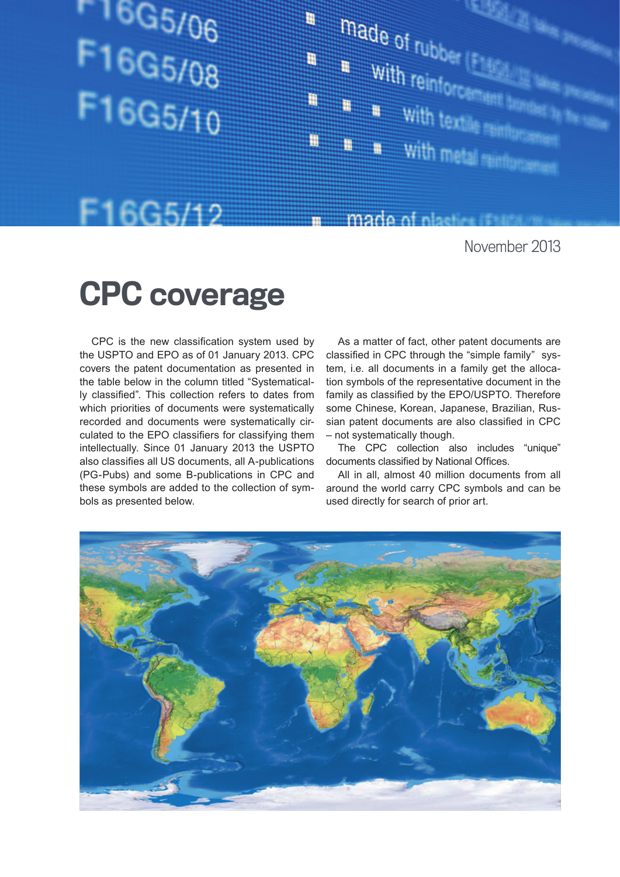# $16G5/06$ F16G5/08 F16G5/10



### F16G5/12

November 2013

## CPC coverage

CPC is the new classification system used by the USPTO and EPO as of 01 January 2013. CPC covers the patent documentation as presented in the table below in the column titled "Systematically classified". This collection refers to dates from which priorities of documents were systematically recorded and documents were systematically circulated to the EPO classifiers for classifying them intellectually. Since 01 January 2013 the USPTO also classifies all US documents, all A-publications (PG-Pubs) and some B-publications in CPC and these symbols are added to the collection of symbols as presented below.

As a matter of fact, other patent documents are classified in CPC through the "simple family" system, i.e. all documents in a family get the allocation symbols of the representative document in the family as classified by the EPO/USPTO. Therefore some Chinese, Korean, Japanese, Brazilian, Russian patent documents are also classified in CPC – not systematically though.

made of plastics if the

The CPC collection also includes "unique" documents classified by National Offices.

All in all, almost 40 million documents from all around the world carry CPC symbols and can be used directly for search of prior art.